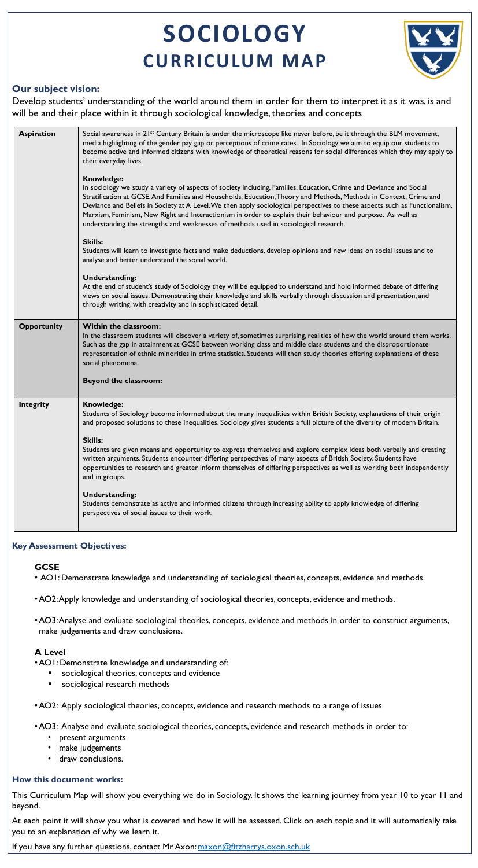# **SOCIOLOGY CURRICULUM MAP**



# **Our subject vision:**

Develop students' understanding of the world around them in order for them to interpret it as it was, is and will be and their place within it through sociological knowledge, theories and concepts

# **GCSE**

- •AO1: Demonstrate knowledge and understanding of:
	- sociological theories, concepts and evidence
	- sociological research methods
- AO1: Demonstrate knowledge and understanding of sociological theories, concepts, evidence and methods.
- •AO2: Apply knowledge and understanding of sociological theories, concepts, evidence and methods.
- •AO3: Analyse and evaluate sociological theories, concepts, evidence and methods in order to construct arguments, make judgements and draw conclusions.

# **A Level**

•AO2: Apply sociological theories, concepts, evidence and research methods to a range of issues

- •AO3: Analyse and evaluate sociological theories, concepts, evidence and research methods in order to:
	- present arguments
	- make judgements
	- draw conclusions.

# **How this document works:**

This Curriculum Map will show you everything we do in Sociology. It shows the learning journey from year 10 to year 11 and beyond.

At each point it will show you what is covered and how it will be assessed. Click on each topic and it will automatically take you to an explanation of why we learn it.

If you have any further questions, contact Mr Axon: [maxon@fitzharrys.oxon.sch.uk](mailto:maxon@fitzharrys.oxon.sch.uk)

| <b>Aspiration</b>  | Social awareness in 21 <sup>st</sup> Century Britain is under the microscope like never before, be it through the BLM movement,<br>media highlighting of the gender pay gap or perceptions of crime rates. In Sociology we aim to equip our students to<br>become active and informed citizens with knowledge of theoretical reasons for social differences which they may apply to<br>their everyday lives.<br><b>Knowledge:</b><br>In sociology we study a variety of aspects of society including, Families, Education, Crime and Deviance and Social<br>Stratification at GCSE. And Families and Households, Education, Theory and Methods, Methods in Context, Crime and<br>Deviance and Beliefs in Society at A Level. We then apply sociological perspectives to these aspects such as Functionalism,<br>Marxism, Feminism, New Right and Interactionism in order to explain their behaviour and purpose. As well as<br>understanding the strengths and weaknesses of methods used in sociological research.<br><b>Skills:</b><br>Students will learn to investigate facts and make deductions, develop opinions and new ideas on social issues and to<br>analyse and better understand the social world.<br><b>Understanding:</b><br>At the end of student's study of Sociology they will be equipped to understand and hold informed debate of differing<br>views on social issues. Demonstrating their knowledge and skills verbally through discussion and presentation, and<br>through writing, with creativity and in sophisticated detail. |
|--------------------|----------------------------------------------------------------------------------------------------------------------------------------------------------------------------------------------------------------------------------------------------------------------------------------------------------------------------------------------------------------------------------------------------------------------------------------------------------------------------------------------------------------------------------------------------------------------------------------------------------------------------------------------------------------------------------------------------------------------------------------------------------------------------------------------------------------------------------------------------------------------------------------------------------------------------------------------------------------------------------------------------------------------------------------------------------------------------------------------------------------------------------------------------------------------------------------------------------------------------------------------------------------------------------------------------------------------------------------------------------------------------------------------------------------------------------------------------------------------------------------------------------------------------------------------------------|
| <b>Opportunity</b> | <b>Within the classroom:</b><br>In the classroom students will discover a variety of, sometimes surprising, realities of how the world around them works.<br>Such as the gap in attainment at GCSE between working class and middle class students and the disproportionate<br>representation of ethnic minorities in crime statistics. Students will then study theories offering explanations of these<br>social phenomena.<br><b>Beyond the classroom:</b>                                                                                                                                                                                                                                                                                                                                                                                                                                                                                                                                                                                                                                                                                                                                                                                                                                                                                                                                                                                                                                                                                            |
| <b>Integrity</b>   | Knowledge:<br>Students of Sociology become informed about the many inequalities within British Society, explanations of their origin<br>and proposed solutions to these inequalities. Sociology gives students a full picture of the diversity of modern Britain.<br><b>Skills:</b><br>Students are given means and opportunity to express themselves and explore complex ideas both verbally and creating<br>written arguments. Students encounter differing perspectives of many aspects of British Society. Students have<br>opportunities to research and greater inform themselves of differing perspectives as well as working both independently<br>and in groups.<br><b>Understanding:</b><br>Students demonstrate as active and informed citizens through increasing ability to apply knowledge of differing<br>perspectives of social issues to their work.                                                                                                                                                                                                                                                                                                                                                                                                                                                                                                                                                                                                                                                                                    |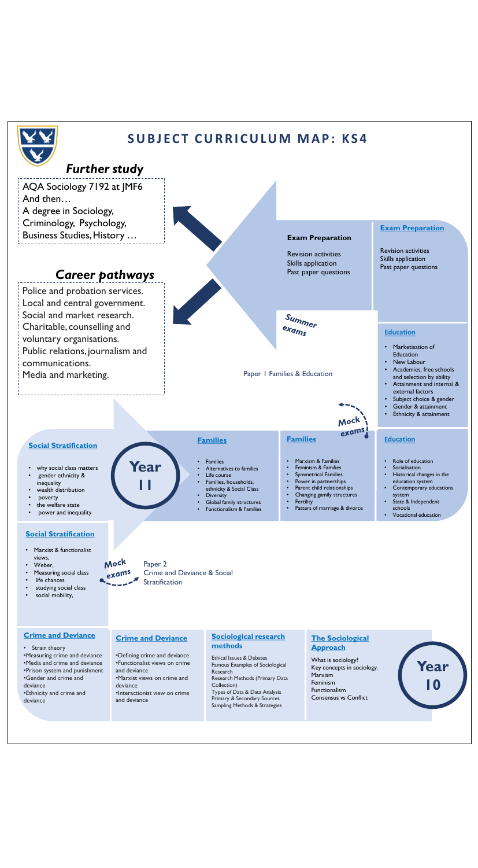- Weber,
- Measuring social class
- life chances
- studying social class
- social mobility,

## **Crime and Deviance**

•Defining crime and deviance •Functionalist views on crime and deviance •Marxist views on crime and deviance •Interactionist view on crime and deviance

## **Sociological research methods**

Ethical Issues & Debates Famous Examples of Sociological Research Research Methods (Primary Data Collection) Types of Data & Data Analysis Primary & Secondary Sources Sampling Methods & Strategies

## **The Sociological Approach**

What is sociology? Key concepts in sociology. Marxism Feminism Functionalism Consensus vs Conflict

## **Crime and Deviance**

- Strain theory
- •Measuring crime and deviance
- •Media and crime and deviance
- •Prison system and punishment
- •Gender and crime and
- deviance
- •Ethnicity and crime and deviance

Paper 2 exams Crime and Deviance & Social **Stratification** 



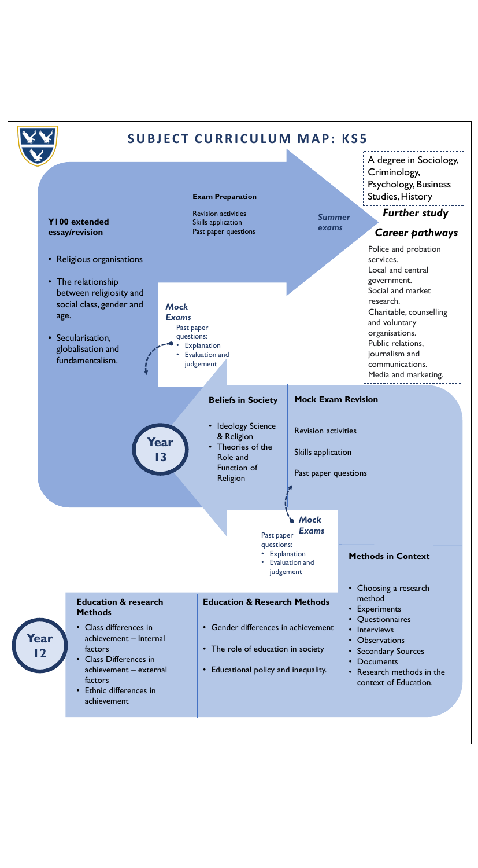**Year** 

**12**

# **Education & research Methods**

• Class differences in achievement – Internal factors

- Class Differences in achievement – external factors
- Ethnic differences in achievement

# **Education & Research Methods**

- Gender differences in achievement
- The role of education in society
- Educational policy and inequality.
- Choosing a research method
- Experiments
- Questionnaires
- Interviews
- Observations
- Secondary Sources
- Documents
- Research methods in the context of Education.



• Evaluation and judgement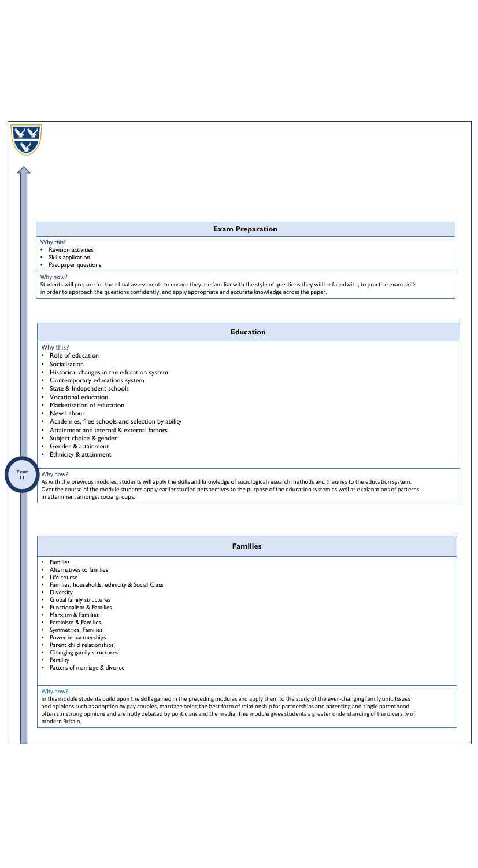## **Education**

## Why this?

- Role of education
- Socialisation
- Historical changes in the education system
- Contemporary educations system
- State & Independent schools
- Vocational education
- Marketisation of Education
- New Labour
- Academies, free schools and selection by ability
- Attainment and internal & external factors
- Subject choice & gender
- Gender & attainment
- Ethnicity & attainment

Why now?

As with the previous modules, students will apply the skills and knowledge of sociological research methods and theories to the education system. Over the course of the module students apply earlier studied perspectives to the purpose of the education system as well as explanations of patterns in attainment amongst social groups.

#### **Year 11**

**Families**

• Families

- Alternatives to families
- Life course
- Families, households, ethnicity & Social Class
- Diversity
- Global family structures
- Functionalism & Families
- Marxism & Families
- Feminism & Families
- Symmetrical Families
- Power in partnerships
- Parent child relationships
- Changing gamily structures
- Fertility
- Patters of marriage & divorce

## Why now?

In this module students build upon the skills gained in the preceding modules and apply them to the study of the ever-changing family unit. Issues and opinions such as adoption by gay couples, marriage being the best form of relationship for partnerships and parenting and single parenthood often stir strong opinions and are hotly debated by politicians and the media. This module gives students a greater understanding of the diversity of modern Britain.



## **Exam Preparation**

## Why this?

- Revision activities
- Skills application
- Past paper questions

#### Why now?

Students will prepare for their final assessments to ensure they are familiar with the style of questions they will be faced with, to practice exam skills in order to approach the questions confidently, and apply appropriate and accurate knowledge across the paper.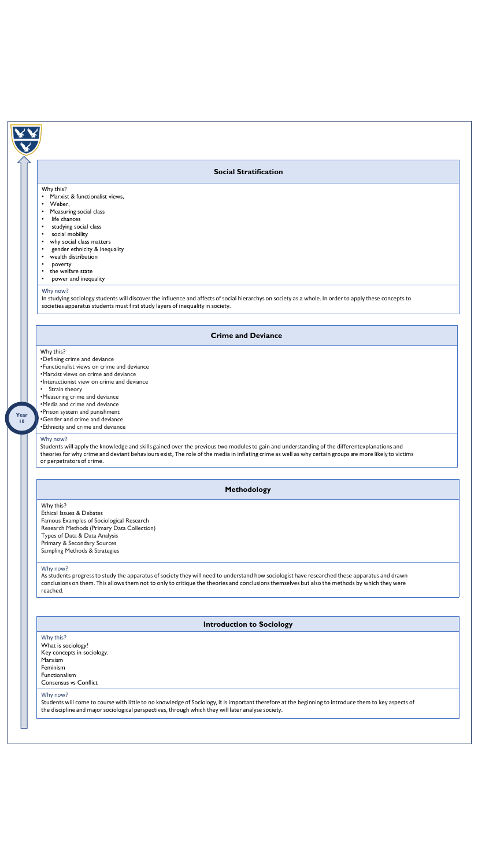## **Methodology**

## Why this? Ethical Issues & Debates Famous Examples of Sociological Research Research Methods (Primary Data Collection) Types of Data & Data Analysis Primary & Secondary Sources Sampling Methods & Strategies

#### Why now?

As students progress to study the apparatus of society they will need to understand how sociologist have researched these apparatus and drawn conclusions on them. This allows them not to only to critique the theories and conclusions themselves but also the methods by which they were reached.

## **Introduction to Sociology**

#### Why this?

What is sociology? Key concepts in sociology. Marxism Feminism Functionalism Consensus vs Conflict

#### Why now?

Students will apply the knowledge and skills gained over the previous two modules to gain and understanding of the differentexplanations and theories for why crime and deviant behaviours exist, The role of the media in inflating crime as well as why certain groups are more likely to victims or perpetrators of crime.

Students will come to course with little to no knowledge of Sociology, it is important therefore at the beginning to introduce them to key aspects of the discipline and major sociological perspectives, through which they will later analyse society.

## **Crime and Deviance**

## Why this?

- •Defining crime and deviance
- •Functionalist views on crime and deviance
- •Marxist views on crime and deviance
- •Interactionist view on crime and deviance
- Strain theory
- •Measuring crime and deviance
- •Media and crime and deviance
- •Prison system and punishment
- •Gender and crime and deviance •Ethnicity and crime and deviance

# Why now?

## **Social Stratification**

#### Why this?

- Marxist & functionalist views,
- Weber,
- Measuring social class
- life chances
- studying social class
- social mobility
- why social class matters
- gender ethnicity & inequality
- wealth distribution
- poverty
- the welfare state
- power and inequality

## Why now?

In studying sociology students will discover the influence and affects of social hierarchys on society as a whole. In order to apply these concepts to societies apparatus students must first study layers of inequality in society.